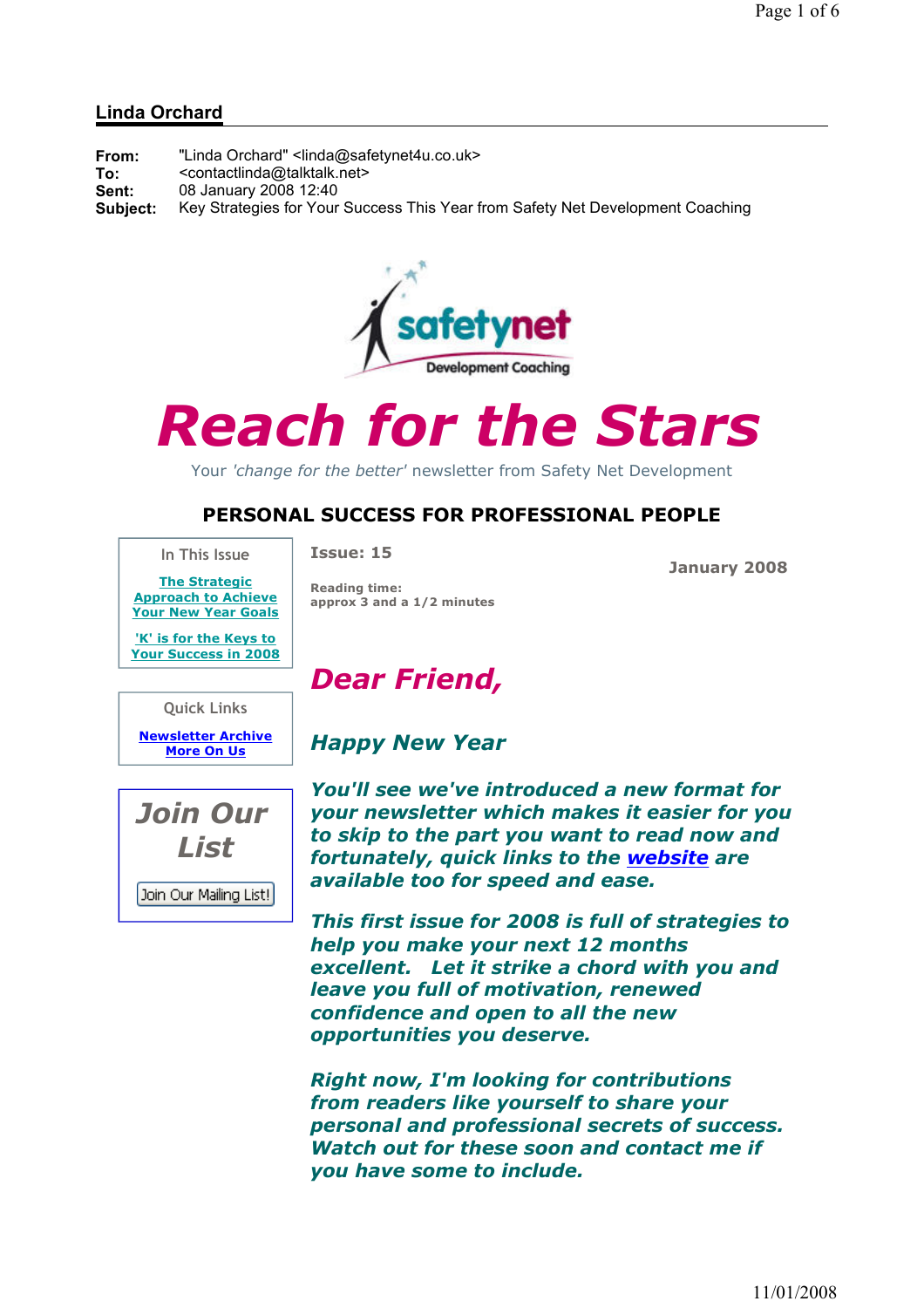#### Linda Orchard

| From:    | "Linda Orchard" <linda@safetynet4u.co.uk></linda@safetynet4u.co.uk>            |
|----------|--------------------------------------------------------------------------------|
| To:      | <contactlinda@talktalk.net></contactlinda@talktalk.net>                        |
| Sent:    | 08 January 2008 12:40                                                          |
| Subject: | Key Strategies for Your Success This Year from Safety Net Development Coaching |



# Reach for the Stars

Your 'change for the better' newsletter from Safety Net Development

### PERSONAL SUCCESS FOR PROFESSIONAL PEOPLE

In This Issue

Issue: 15

Reading time:

January 2008

The Strategic Approach to Achieve Your New Year Goals

'K' is for the Keys to Your Success in 2008

Quick Links

Newsletter Archive More On Us



Join Our Mailing List!

Dear Friend,

approx 3 and a 1/2 minutes

## Happy New Year

You'll see we've introduced a new format for your newsletter which makes it easier for you to skip to the part you want to read now and fortunately, quick links to the website are available too for speed and ease.

This first issue for 2008 is full of strategies to help you make your next 12 months excellent. Let it strike a chord with you and leave you full of motivation, renewed confidence and open to all the new opportunities you deserve.

Right now, I'm looking for contributions from readers like yourself to share your personal and professional secrets of success. Watch out for these soon and contact me if you have some to include.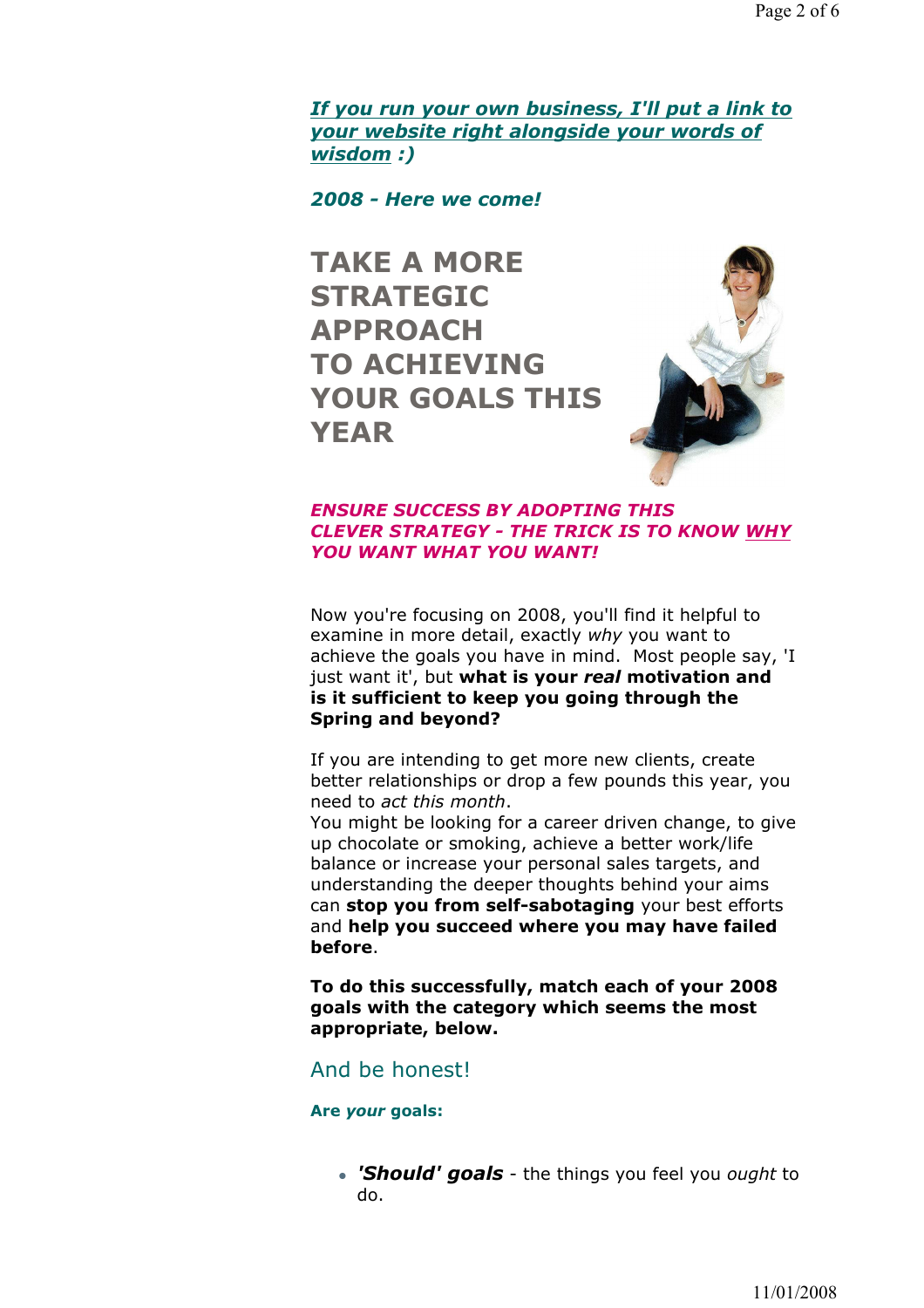If you run your own business, I'll put a link to your website right alongside your words of wisdom :)

2008 - Here we come!

TAKE A MORE STRATEGIC APPROACH TO ACHIEVING YOUR GOALS THIS YEAR



#### ENSURE SUCCESS BY ADOPTING THIS CLEVER STRATEGY - THE TRICK IS TO KNOW WHY YOU WANT WHAT YOU WANT!

Now you're focusing on 2008, you'll find it helpful to examine in more detail, exactly why you want to achieve the goals you have in mind. Most people say, 'I just want it', but what is your real motivation and is it sufficient to keep you going through the Spring and beyond?

If you are intending to get more new clients, create better relationships or drop a few pounds this year, you need to act this month.

You might be looking for a career driven change, to give up chocolate or smoking, achieve a better work/life balance or increase your personal sales targets, and understanding the deeper thoughts behind your aims can stop you from self-sabotaging your best efforts and help you succeed where you may have failed before.

To do this successfully, match each of your 2008 goals with the category which seems the most appropriate, below.

#### And be honest!

#### Are your goals:

• 'Should' goals - the things you feel you ought to do.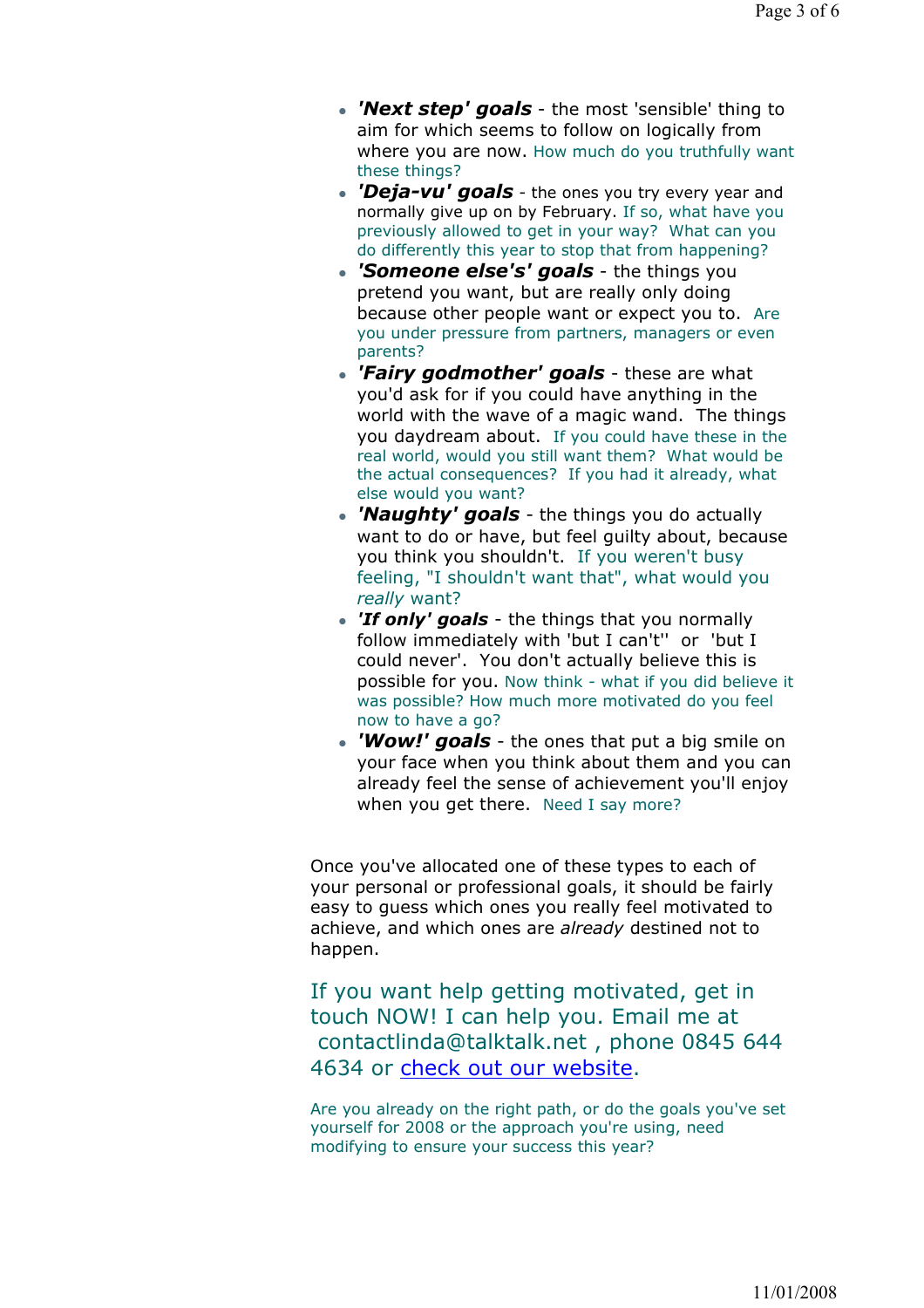- 'Next step' goals the most 'sensible' thing to aim for which seems to follow on logically from where you are now. How much do you truthfully want these things?
- 'Deja-vu' goals the ones you try every year and normally give up on by February. If so, what have you previously allowed to get in your way? What can you do differently this year to stop that from happening?
- 'Someone else's' goals the things you pretend you want, but are really only doing because other people want or expect you to. Are you under pressure from partners, managers or even parents?
- 'Fairy godmother' goals these are what you'd ask for if you could have anything in the world with the wave of a magic wand. The things you daydream about. If you could have these in the real world, would you still want them? What would be the actual consequences? If you had it already, what else would you want?
- 'Naughty' goals the things you do actually want to do or have, but feel guilty about, because you think you shouldn't. If you weren't busy feeling, "I shouldn't want that", what would you really want?
- 'If only' goals the things that you normally follow immediately with 'but I can't'' or 'but I could never'. You don't actually believe this is possible for you. Now think - what if you did believe it was possible? How much more motivated do you feel now to have a go?
- 'Wow!' goals the ones that put a big smile on your face when you think about them and you can already feel the sense of achievement you'll enjoy when you get there. Need I say more?

Once you've allocated one of these types to each of your personal or professional goals, it should be fairly easy to guess which ones you really feel motivated to achieve, and which ones are already destined not to happen.

If you want help getting motivated, get in touch NOW! I can help you. Email me at contactlinda@talktalk.net , phone 0845 644 4634 or check out our website.

Are you already on the right path, or do the goals you've set yourself for 2008 or the approach you're using, need modifying to ensure your success this year?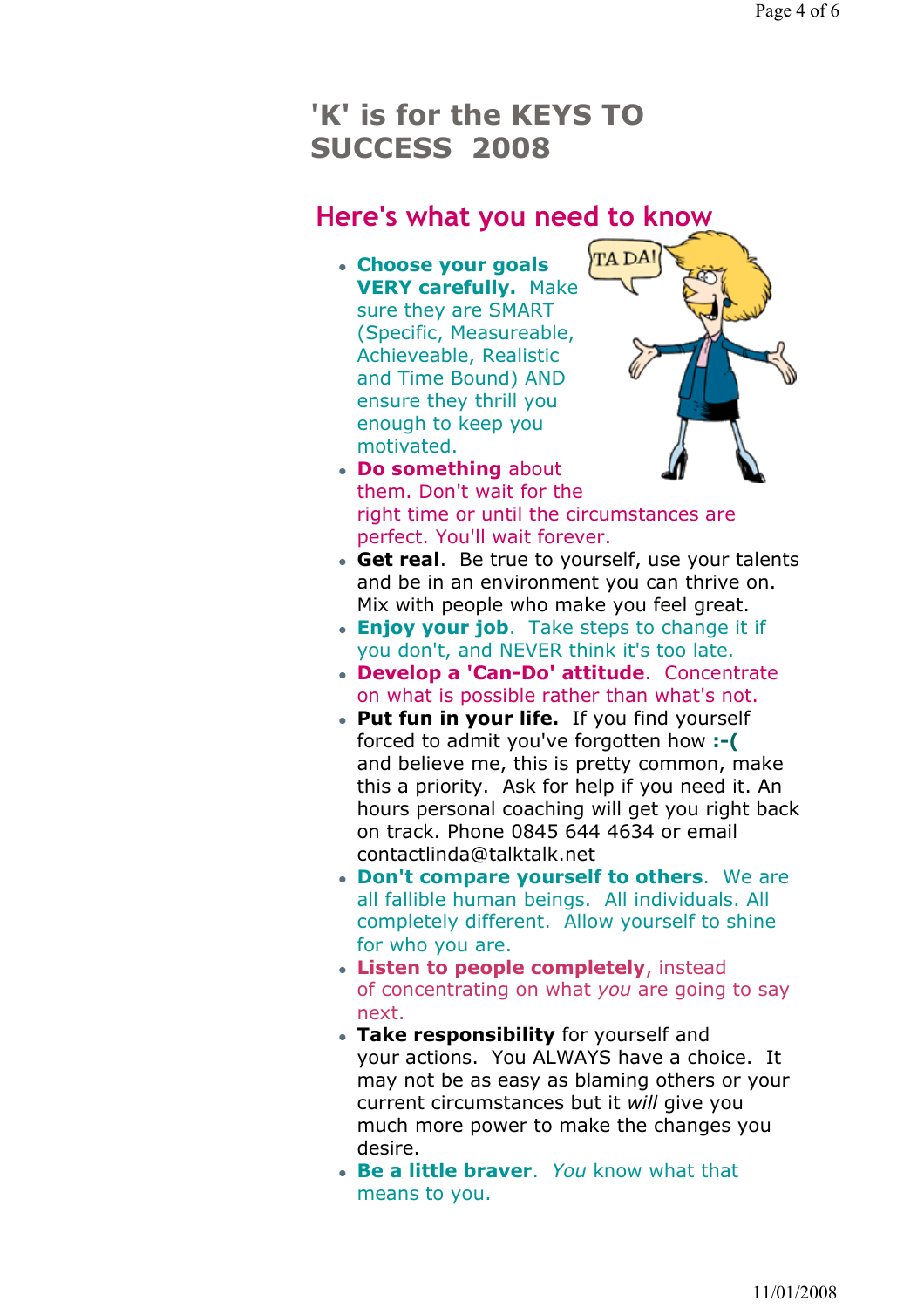## 'K' is for the KEYS TO SUCCESS 2008

## Here's what you need to know

 Choose your goals VERY carefully. Make sure they are SMART (Specific, Measureable, Achieveable, Realistic and Time Bound) AND ensure they thrill you enough to keep you motivated.



- Do something about them. Don't wait for the right time or until the circumstances are perfect. You'll wait forever.
- Get real. Be true to yourself, use your talents and be in an environment you can thrive on. Mix with people who make you feel great.
- **Enjoy your job.** Take steps to change it if you don't, and NEVER think it's too late.
- Develop a 'Can-Do' attitude. Concentrate on what is possible rather than what's not.
- Put fun in your life. If you find yourself forced to admit you've forgotten how :- ( and believe me, this is pretty common, make this a priority. Ask for help if you need it. An hours personal coaching will get you right back on track. Phone 0845 644 4634 or email contactlinda@talktalk.net
- Don't compare yourself to others. We are all fallible human beings. All individuals. All completely different. Allow yourself to shine for who you are.
- Listen to people completely, instead of concentrating on what you are going to say next.
- Take responsibility for yourself and your actions. You ALWAYS have a choice. It may not be as easy as blaming others or your current circumstances but it will give you much more power to make the changes you desire.
- Be a little braver. You know what that means to you.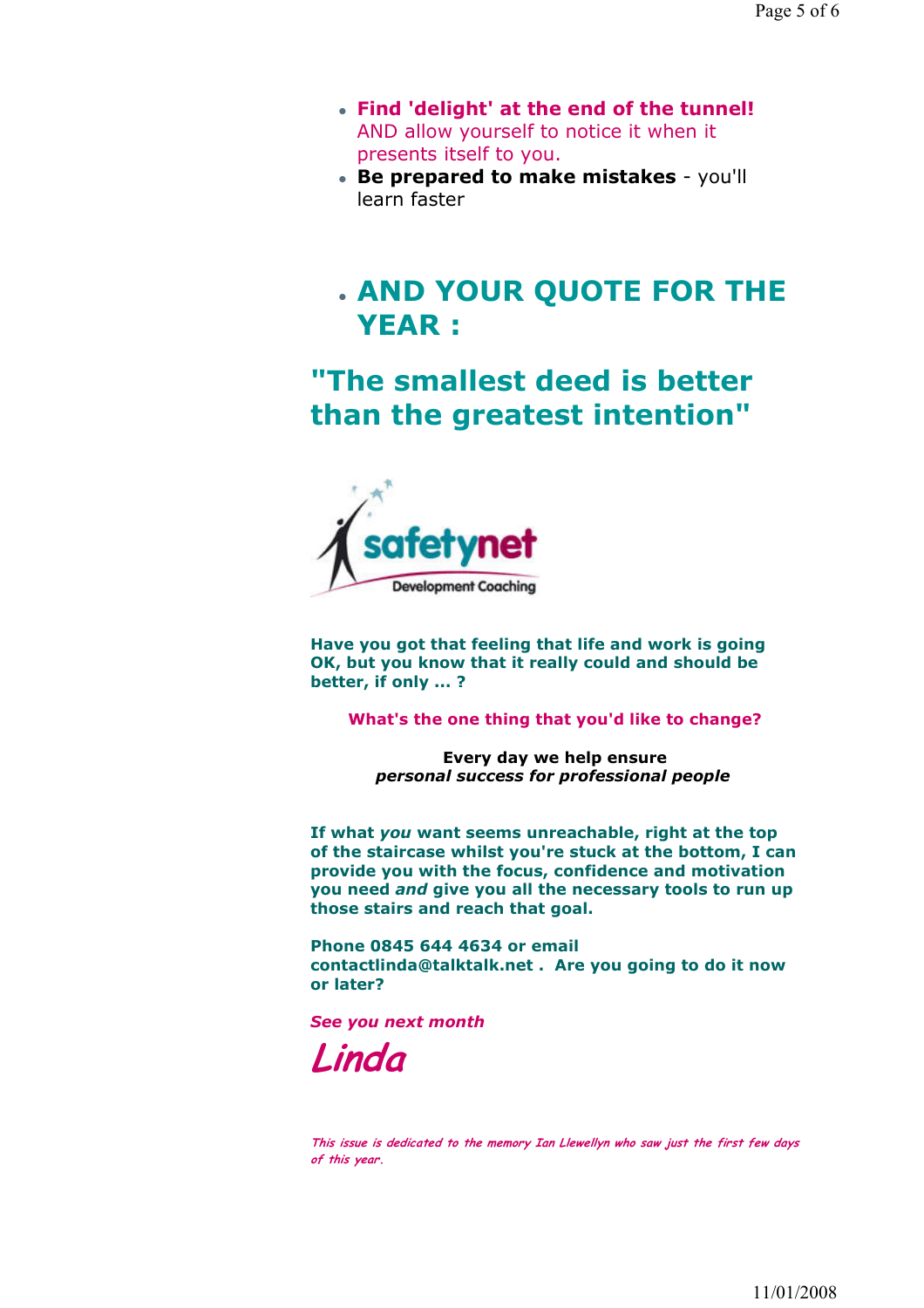- Find 'delight' at the end of the tunnel! AND allow yourself to notice it when it presents itself to you.
- Be prepared to make mistakes you'll learn faster

## AND YOUR QUOTE FOR THE YEAR :

"The smallest deed is better than the greatest intention"



Have you got that feeling that life and work is going OK, but you know that it really could and should be better, if only ... ?

What's the one thing that you'd like to change?

Every day we help ensure personal success for professional people

If what you want seems unreachable, right at the top of the staircase whilst you're stuck at the bottom, I can provide you with the focus, confidence and motivation you need and give you all the necessary tools to run up those stairs and reach that goal.

Phone 0845 644 4634 or email contactlinda@talktalk.net . Are you going to do it now or later?

See you next month

Linda

This issue is dedicated to the memory Ian Llewellyn who saw just the first few days of this year.